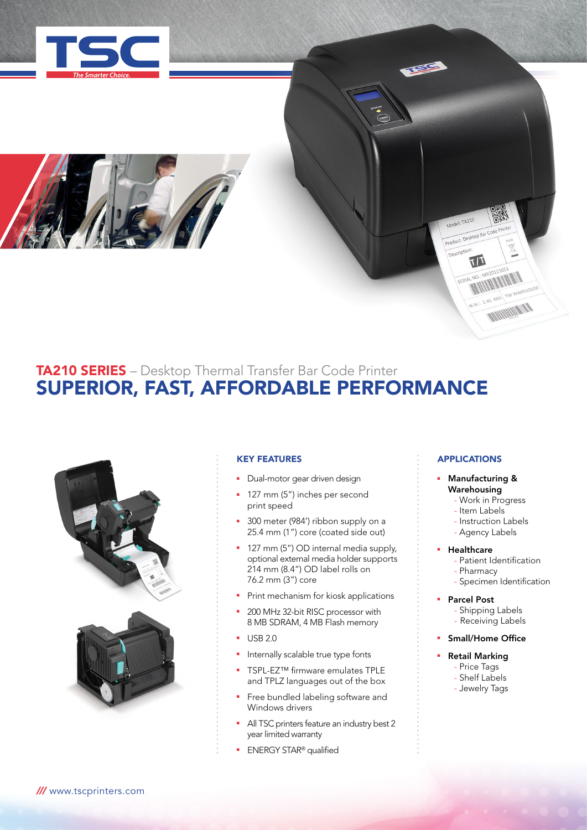



# TA210 SERIES – Desktop Thermal Transfer Bar Code Printer SUPERIOR, FAST, AFFORDABLE PERFORMANCE



## KEY FEATURES

- **•** Dual-motor gear driven design
- **127 mm (5") inches per second** print speed
- 300 meter (984') ribbon supply on a 25.4 mm (1") core (coated side out)
- 127 mm (5") OD internal media supply, optional external media holder supports 214 mm (8.4") OD label rolls on 76.2 mm (3") core
- **•** Print mechanism for kiosk applications
- 200 MHz 32-bit RISC processor with 8 MB SDRAM, 4 MB Flash memory
- $-$  USB 2.0
- **n** Internally scalable true type fonts
- TSPL-EZ™ firmware emulates TPLE and TPLZ languages out of the box
- Free bundled labeling software and Windows drivers
- All TSC printers feature an industry best 2 year limited warranty
- **ENERGY STAR<sup>®</sup> qualified**

## APPLICATIONS

Model: TA210 Product: Desktop Bar Description

 $T|L$ 

**MAN MAN** 

### Manufacturing & Warehousing

- Work in Progress
- Item Labels
- Instruction Labels
- Agency Labels

## **Healthcare**

- Patient Identification
- Pharmacy
- Specimen Identification
- **Parcel Post** 
	- Shipping Labels
	- Receiving Labels
- **Small/Home Office**

# **Retail Marking**

- Price Tags - Shelf Labels
- Jewelry Tags

*///* www.tscprinters.com